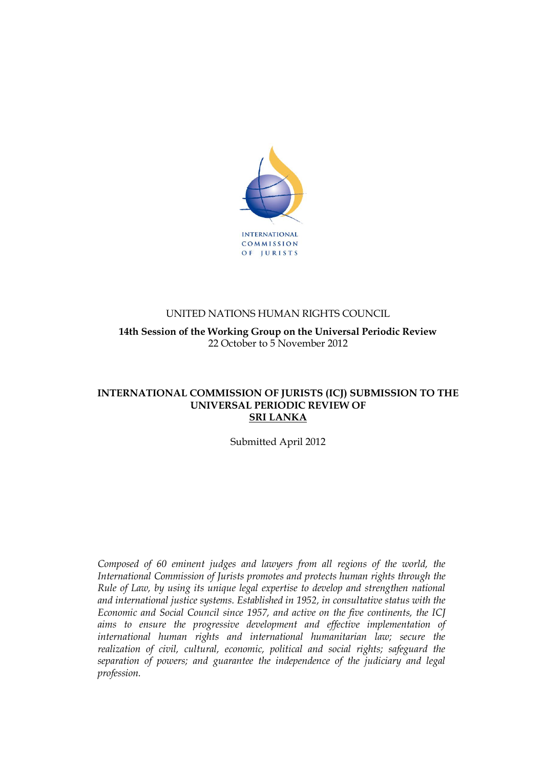

## UNITED NATIONS HUMAN RIGHTS COUNCIL

**14th Session of the Working Group on the Universal Periodic Review** 22 October to 5 November 2012

### **INTERNATIONAL COMMISSION OF JURISTS (ICJ) SUBMISSION TO THE UNIVERSAL PERIODIC REVIEW OF SRI LANKA**

Submitted April 2012

*Composed of 60 eminent judges and lawyers from all regions of the world, the International Commission of Jurists promotes and protects human rights through the Rule of Law, by using its unique legal expertise to develop and strengthen national and international justice systems. Established in 1952, in consultative status with the Economic and Social Council since 1957, and active on the five continents, the ICJ aims to ensure the progressive development and effective implementation of international human rights and international humanitarian law; secure the realization of civil, cultural, economic, political and social rights; safeguard the separation of powers; and guarantee the independence of the judiciary and legal profession.*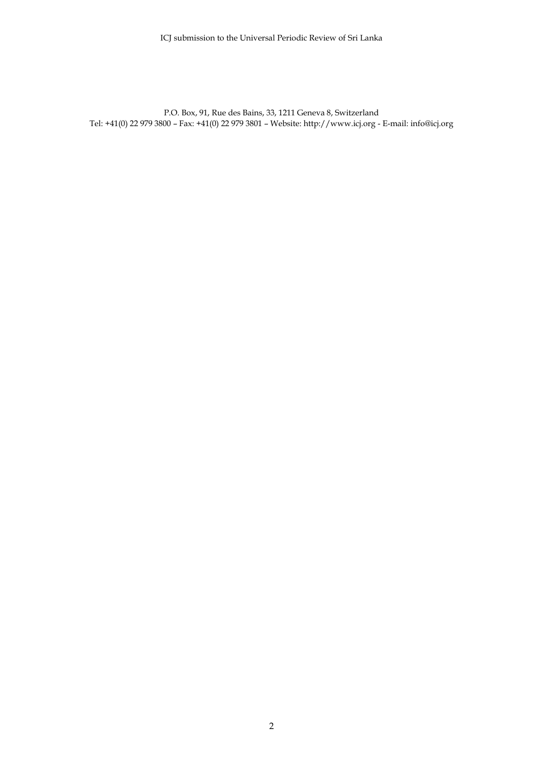P.O. Box, 91, Rue des Bains, 33, 1211 Geneva 8, Switzerland Tel: +41(0) 22 979 3800 – Fax: +41(0) 22 979 3801 – Website: http://www.icj.org - E-mail: info@icj.org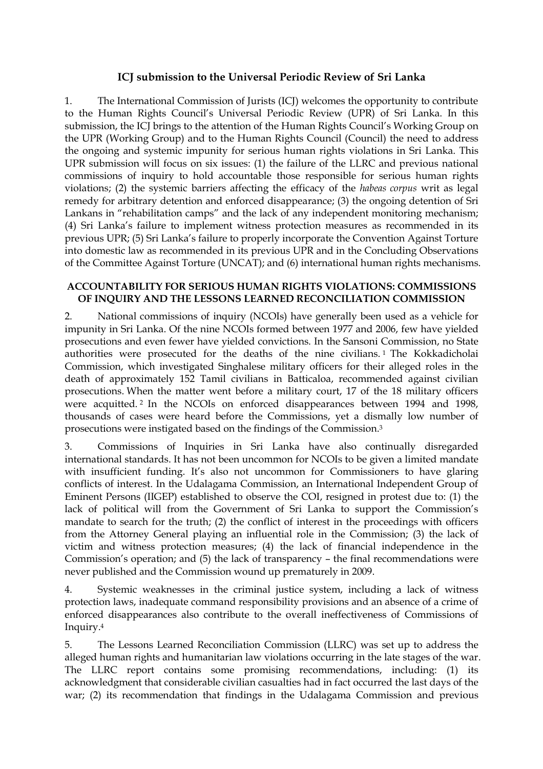# **ICJ submission to the Universal Periodic Review of Sri Lanka**

1. The International Commission of Jurists (ICJ) welcomes the opportunity to contribute to the Human Rights Council"s Universal Periodic Review (UPR) of Sri Lanka. In this submission, the ICJ brings to the attention of the Human Rights Council's Working Group on the UPR (Working Group) and to the Human Rights Council (Council) the need to address the ongoing and systemic impunity for serious human rights violations in Sri Lanka. This UPR submission will focus on six issues: (1) the failure of the LLRC and previous national commissions of inquiry to hold accountable those responsible for serious human rights violations; (2) the systemic barriers affecting the efficacy of the *habeas corpus* writ as legal remedy for arbitrary detention and enforced disappearance; (3) the ongoing detention of Sri Lankans in "rehabilitation camps" and the lack of any independent monitoring mechanism; (4) Sri Lanka"s failure to implement witness protection measures as recommended in its previous UPR; (5) Sri Lanka"s failure to properly incorporate the Convention Against Torture into domestic law as recommended in its previous UPR and in the Concluding Observations of the Committee Against Torture (UNCAT); and (6) international human rights mechanisms.

#### **ACCOUNTABILITY FOR SERIOUS HUMAN RIGHTS VIOLATIONS: COMMISSIONS OF INQUIRY AND THE LESSONS LEARNED RECONCILIATION COMMISSION**

2. National commissions of inquiry (NCOIs) have generally been used as a vehicle for impunity in Sri Lanka. Of the nine NCOIs formed between 1977 and 2006, few have yielded prosecutions and even fewer have yielded convictions. In the Sansoni Commission, no State authorities were prosecuted for the deaths of the nine civilians. <sup>1</sup> The Kokkadicholai Commission, which investigated Singhalese military officers for their alleged roles in the death of approximately 152 Tamil civilians in Batticaloa, recommended against civilian prosecutions. When the matter went before a military court, 17 of the 18 military officers were acquitted. <sup>2</sup> In the NCOIs on enforced disappearances between 1994 and 1998, thousands of cases were heard before the Commissions, yet a dismally low number of prosecutions were instigated based on the findings of the Commission. 3

3. Commissions of Inquiries in Sri Lanka have also continually disregarded international standards. It has not been uncommon for NCOIs to be given a limited mandate with insufficient funding. It's also not uncommon for Commissioners to have glaring conflicts of interest. In the Udalagama Commission, an International Independent Group of Eminent Persons (IIGEP) established to observe the COI, resigned in protest due to: (1) the lack of political will from the Government of Sri Lanka to support the Commission's mandate to search for the truth; (2) the conflict of interest in the proceedings with officers from the Attorney General playing an influential role in the Commission; (3) the lack of victim and witness protection measures; (4) the lack of financial independence in the Commission's operation; and (5) the lack of transparency - the final recommendations were never published and the Commission wound up prematurely in 2009.

4. Systemic weaknesses in the criminal justice system, including a lack of witness protection laws, inadequate command responsibility provisions and an absence of a crime of enforced disappearances also contribute to the overall ineffectiveness of Commissions of Inquiry. 4

5. The Lessons Learned Reconciliation Commission (LLRC) was set up to address the alleged human rights and humanitarian law violations occurring in the late stages of the war. The LLRC report contains some promising recommendations, including: (1) its acknowledgment that considerable civilian casualties had in fact occurred the last days of the war; (2) its recommendation that findings in the Udalagama Commission and previous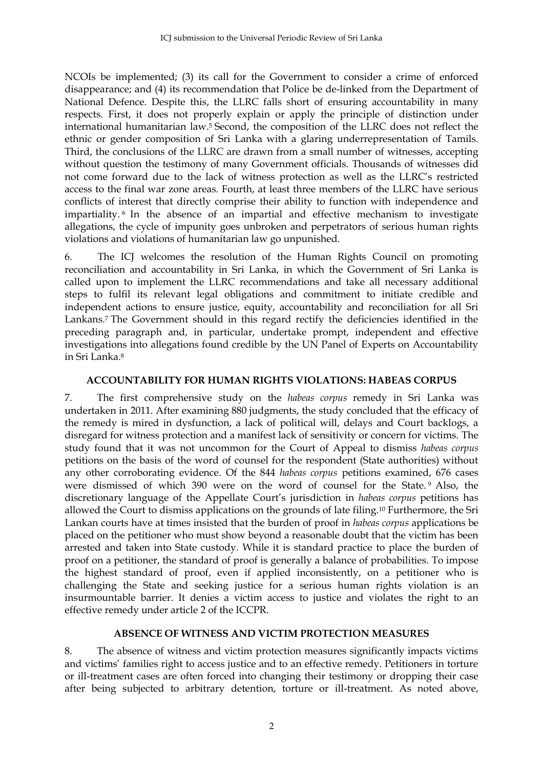NCOIs be implemented; (3) its call for the Government to consider a crime of enforced disappearance; and (4) its recommendation that Police be de-linked from the Department of National Defence. Despite this, the LLRC falls short of ensuring accountability in many respects. First, it does not properly explain or apply the principle of distinction under international humanitarian law.<sup>5</sup> Second, the composition of the LLRC does not reflect the ethnic or gender composition of Sri Lanka with a glaring underrepresentation of Tamils. Third, the conclusions of the LLRC are drawn from a small number of witnesses, accepting without question the testimony of many Government officials. Thousands of witnesses did not come forward due to the lack of witness protection as well as the LLRC"s restricted access to the final war zone areas. Fourth, at least three members of the LLRC have serious conflicts of interest that directly comprise their ability to function with independence and impartiality. <sup>6</sup> In the absence of an impartial and effective mechanism to investigate allegations, the cycle of impunity goes unbroken and perpetrators of serious human rights violations and violations of humanitarian law go unpunished.

6. The ICJ welcomes the resolution of the Human Rights Council on promoting reconciliation and accountability in Sri Lanka, in which the Government of Sri Lanka is called upon to implement the LLRC recommendations and take all necessary additional steps to fulfil its relevant legal obligations and commitment to initiate credible and independent actions to ensure justice, equity, accountability and reconciliation for all Sri Lankans.<sup>7</sup> The Government should in this regard rectify the deficiencies identified in the preceding paragraph and, in particular, undertake prompt, independent and effective investigations into allegations found credible by the UN Panel of Experts on Accountability in Sri Lanka.<sup>8</sup>

### **ACCOUNTABILITY FOR HUMAN RIGHTS VIOLATIONS: HABEAS CORPUS**

7. The first comprehensive study on the *habeas corpus* remedy in Sri Lanka was undertaken in 2011. After examining 880 judgments, the study concluded that the efficacy of the remedy is mired in dysfunction, a lack of political will, delays and Court backlogs, a disregard for witness protection and a manifest lack of sensitivity or concern for victims. The study found that it was not uncommon for the Court of Appeal to dismiss *habeas corpus* petitions on the basis of the word of counsel for the respondent (State authorities) without any other corroborating evidence. Of the 844 *habeas corpus* petitions examined, 676 cases were dismissed of which 390 were on the word of counsel for the State. <sup>9</sup> Also, the discretionary language of the Appellate Court"s jurisdiction in *habeas corpus* petitions has allowed the Court to dismiss applications on the grounds of late filing.<sup>10</sup> Furthermore, the Sri Lankan courts have at times insisted that the burden of proof in *habeas corpus* applications be placed on the petitioner who must show beyond a reasonable doubt that the victim has been arrested and taken into State custody. While it is standard practice to place the burden of proof on a petitioner, the standard of proof is generally a balance of probabilities. To impose the highest standard of proof, even if applied inconsistently, on a petitioner who is challenging the State and seeking justice for a serious human rights violation is an insurmountable barrier. It denies a victim access to justice and violates the right to an effective remedy under article 2 of the ICCPR.

### **ABSENCE OF WITNESS AND VICTIM PROTECTION MEASURES**

8. The absence of witness and victim protection measures significantly impacts victims and victims' families right to access justice and to an effective remedy. Petitioners in torture or ill-treatment cases are often forced into changing their testimony or dropping their case after being subjected to arbitrary detention, torture or ill-treatment. As noted above,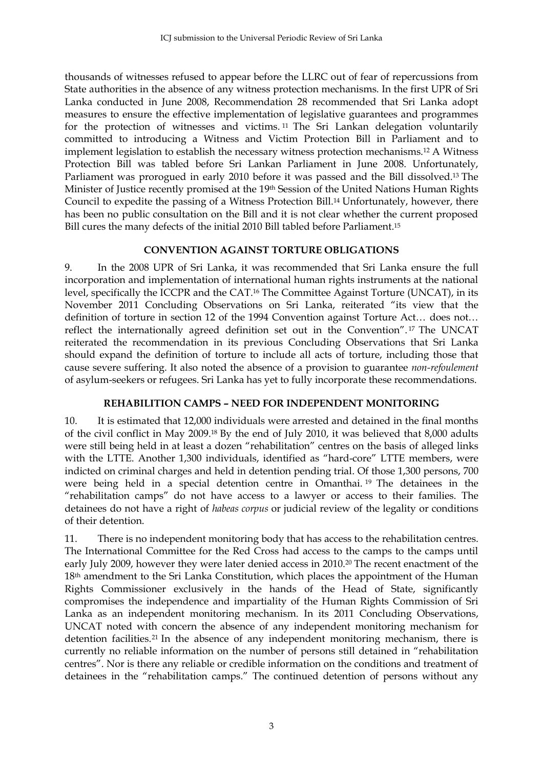thousands of witnesses refused to appear before the LLRC out of fear of repercussions from State authorities in the absence of any witness protection mechanisms. In the first UPR of Sri Lanka conducted in June 2008, Recommendation 28 recommended that Sri Lanka adopt measures to ensure the effective implementation of legislative guarantees and programmes for the protection of witnesses and victims. <sup>11</sup> The Sri Lankan delegation voluntarily committed to introducing a Witness and Victim Protection Bill in Parliament and to implement legislation to establish the necessary witness protection mechanisms.<sup>12</sup> A Witness Protection Bill was tabled before Sri Lankan Parliament in June 2008. Unfortunately, Parliament was prorogued in early 2010 before it was passed and the Bill dissolved.<sup>13</sup> The Minister of Justice recently promised at the 19th Session of the United Nations Human Rights Council to expedite the passing of a Witness Protection Bill.<sup>14</sup> Unfortunately, however, there has been no public consultation on the Bill and it is not clear whether the current proposed Bill cures the many defects of the initial 2010 Bill tabled before Parliament.<sup>15</sup>

### **CONVENTION AGAINST TORTURE OBLIGATIONS**

9. In the 2008 UPR of Sri Lanka, it was recommended that Sri Lanka ensure the full incorporation and implementation of international human rights instruments at the national level, specifically the ICCPR and the CAT.<sup>16</sup> The Committee Against Torture (UNCAT), in its November 2011 Concluding Observations on Sri Lanka, reiterated "its view that the definition of torture in section 12 of the 1994 Convention against Torture Act… does not… reflect the internationally agreed definition set out in the Convention". <sup>17</sup> The UNCAT reiterated the recommendation in its previous Concluding Observations that Sri Lanka should expand the definition of torture to include all acts of torture, including those that cause severe suffering. It also noted the absence of a provision to guarantee *non-refoulement* of asylum-seekers or refugees. Sri Lanka has yet to fully incorporate these recommendations.

# **REHABILITION CAMPS – NEED FOR INDEPENDENT MONITORING**

10. It is estimated that 12,000 individuals were arrested and detained in the final months of the civil conflict in May 2009.<sup>18</sup> By the end of July 2010, it was believed that 8,000 adults were still being held in at least a dozen "rehabilitation" centres on the basis of alleged links with the LTTE. Another 1,300 individuals, identified as "hard-core" LTTE members, were indicted on criminal charges and held in detention pending trial. Of those 1,300 persons, 700 were being held in a special detention centre in Omanthai. <sup>19</sup> The detainees in the "rehabilitation camps" do not have access to a lawyer or access to their families. The detainees do not have a right of *habeas corpus* or judicial review of the legality or conditions of their detention.

11. There is no independent monitoring body that has access to the rehabilitation centres. The International Committee for the Red Cross had access to the camps to the camps until early July 2009, however they were later denied access in 2010.<sup>20</sup> The recent enactment of the 18<sup>th</sup> amendment to the Sri Lanka Constitution, which places the appointment of the Human Rights Commissioner exclusively in the hands of the Head of State, significantly compromises the independence and impartiality of the Human Rights Commission of Sri Lanka as an independent monitoring mechanism. In its 2011 Concluding Observations, UNCAT noted with concern the absence of any independent monitoring mechanism for detention facilities.<sup>21</sup> In the absence of any independent monitoring mechanism, there is currently no reliable information on the number of persons still detained in "rehabilitation centres". Nor is there any reliable or credible information on the conditions and treatment of detainees in the "rehabilitation camps." The continued detention of persons without any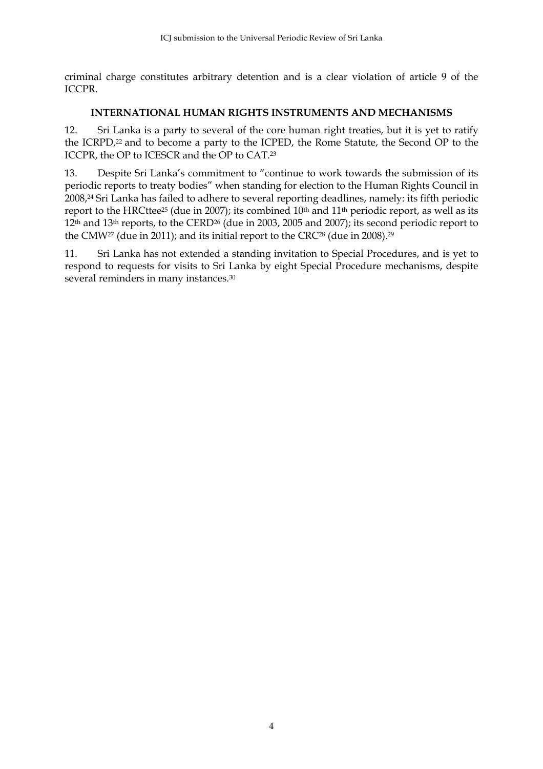criminal charge constitutes arbitrary detention and is a clear violation of article 9 of the ICCPR.

### **INTERNATIONAL HUMAN RIGHTS INSTRUMENTS AND MECHANISMS**

12. Sri Lanka is a party to several of the core human right treaties, but it is yet to ratify the ICRPD, <sup>22</sup> and to become a party to the ICPED, the Rome Statute, the Second OP to the ICCPR, the OP to ICESCR and the OP to CAT. 23

13. Despite Sri Lanka"s commitment to "continue to work towards the submission of its periodic reports to treaty bodies" when standing for election to the Human Rights Council in 2008, <sup>24</sup> Sri Lanka has failed to adhere to several reporting deadlines, namely: its fifth periodic report to the HRCttee<sup>25</sup> (due in 2007); its combined 10<sup>th</sup> and 11<sup>th</sup> periodic report, as well as its 12th and 13th reports, to the CERD<sup>26</sup> (due in 2003, 2005 and 2007); its second periodic report to the CMW27 (due in 2011); and its initial report to the CRC28 (due in 2008).<sup>29</sup>

11. Sri Lanka has not extended a standing invitation to Special Procedures, and is yet to respond to requests for visits to Sri Lanka by eight Special Procedure mechanisms, despite several reminders in many instances.30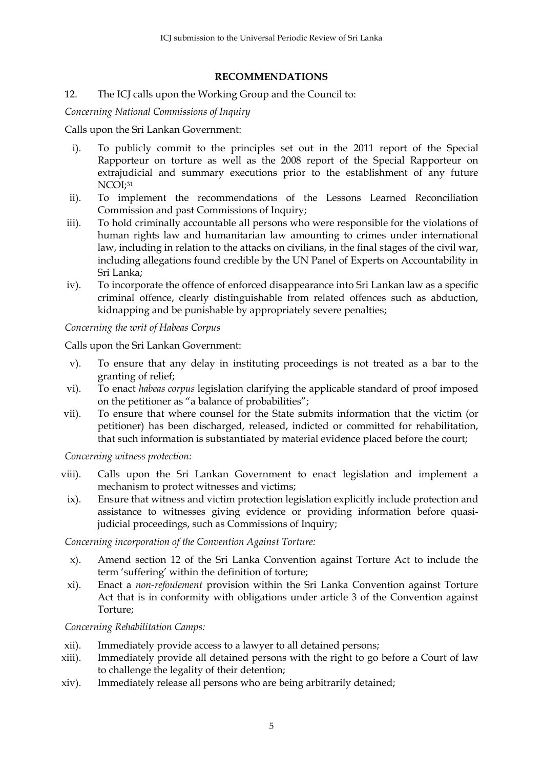#### **RECOMMENDATIONS**

### 12. The ICJ calls upon the Working Group and the Council to:

*Concerning National Commissions of Inquiry*

Calls upon the Sri Lankan Government:

- i). To publicly commit to the principles set out in the 2011 report of the Special Rapporteur on torture as well as the 2008 report of the Special Rapporteur on extrajudicial and summary executions prior to the establishment of any future NCOI; 31
- ii). To implement the recommendations of the Lessons Learned Reconciliation Commission and past Commissions of Inquiry;
- iii). To hold criminally accountable all persons who were responsible for the violations of human rights law and humanitarian law amounting to crimes under international law, including in relation to the attacks on civilians, in the final stages of the civil war, including allegations found credible by the UN Panel of Experts on Accountability in Sri Lanka;
- iv). To incorporate the offence of enforced disappearance into Sri Lankan law as a specific criminal offence, clearly distinguishable from related offences such as abduction, kidnapping and be punishable by appropriately severe penalties;

*Concerning the writ of Habeas Corpus*

Calls upon the Sri Lankan Government:

- v). To ensure that any delay in instituting proceedings is not treated as a bar to the granting of relief;
- vi). To enact *habeas corpus* legislation clarifying the applicable standard of proof imposed on the petitioner as "a balance of probabilities";
- vii). To ensure that where counsel for the State submits information that the victim (or petitioner) has been discharged, released, indicted or committed for rehabilitation, that such information is substantiated by material evidence placed before the court;

*Concerning witness protection:*

- viii). Calls upon the Sri Lankan Government to enact legislation and implement a mechanism to protect witnesses and victims;
- ix). Ensure that witness and victim protection legislation explicitly include protection and assistance to witnesses giving evidence or providing information before quasijudicial proceedings, such as Commissions of Inquiry;

*Concerning incorporation of the Convention Against Torture:*

- x). Amend section 12 of the Sri Lanka Convention against Torture Act to include the term "suffering" within the definition of torture;
- xi). Enact a *non-refoulement* provision within the Sri Lanka Convention against Torture Act that is in conformity with obligations under article 3 of the Convention against Torture;

*Concerning Rehabilitation Camps:*

- xii). Immediately provide access to a lawyer to all detained persons;
- xiii). Immediately provide all detained persons with the right to go before a Court of law to challenge the legality of their detention;
- xiv). Immediately release all persons who are being arbitrarily detained;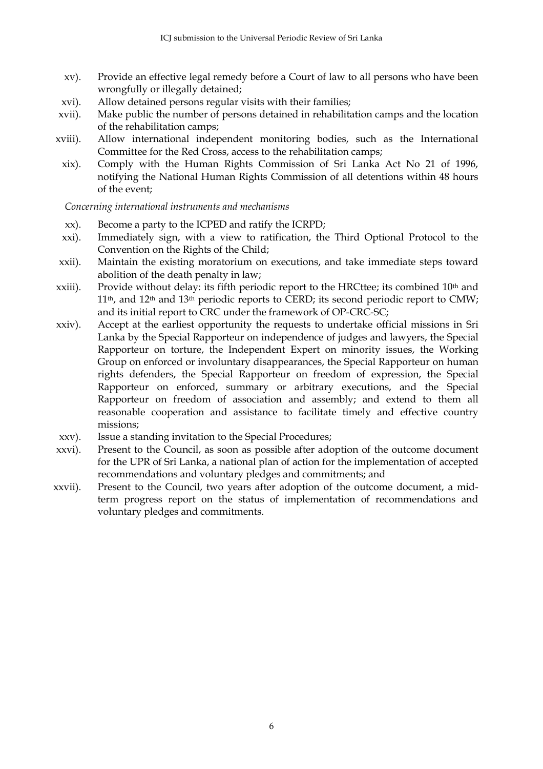- xv). Provide an effective legal remedy before a Court of law to all persons who have been wrongfully or illegally detained;
- xvi). Allow detained persons regular visits with their families;
- xvii). Make public the number of persons detained in rehabilitation camps and the location of the rehabilitation camps;
- xviii). Allow international independent monitoring bodies, such as the International Committee for the Red Cross, access to the rehabilitation camps;
	- xix). Comply with the Human Rights Commission of Sri Lanka Act No 21 of 1996, notifying the National Human Rights Commission of all detentions within 48 hours of the event;

*Concerning international instruments and mechanisms*

- xx). Become a party to the ICPED and ratify the ICRPD;
- xxi). Immediately sign, with a view to ratification, the Third Optional Protocol to the Convention on the Rights of the Child;
- xxii). Maintain the existing moratorium on executions, and take immediate steps toward abolition of the death penalty in law;
- xxiii). Provide without delay: its fifth periodic report to the HRCttee; its combined 10<sup>th</sup> and  $11<sup>th</sup>$ , and  $12<sup>th</sup>$  and  $13<sup>th</sup>$  periodic reports to CERD; its second periodic report to CMW; and its initial report to CRC under the framework of OP-CRC-SC;
- xxiv). Accept at the earliest opportunity the requests to undertake official missions in Sri Lanka by the Special Rapporteur on independence of judges and lawyers, the Special Rapporteur on torture, the Independent Expert on minority issues, the Working Group on enforced or involuntary disappearances, the Special Rapporteur on human rights defenders, the Special Rapporteur on freedom of expression, the Special Rapporteur on enforced, summary or arbitrary executions, and the Special Rapporteur on freedom of association and assembly; and extend to them all reasonable cooperation and assistance to facilitate timely and effective country missions;
- xxv). Issue a standing invitation to the Special Procedures;
- xxvi). Present to the Council, as soon as possible after adoption of the outcome document for the UPR of Sri Lanka, a national plan of action for the implementation of accepted recommendations and voluntary pledges and commitments; and
- xxvii). Present to the Council, two years after adoption of the outcome document, a midterm progress report on the status of implementation of recommendations and voluntary pledges and commitments.